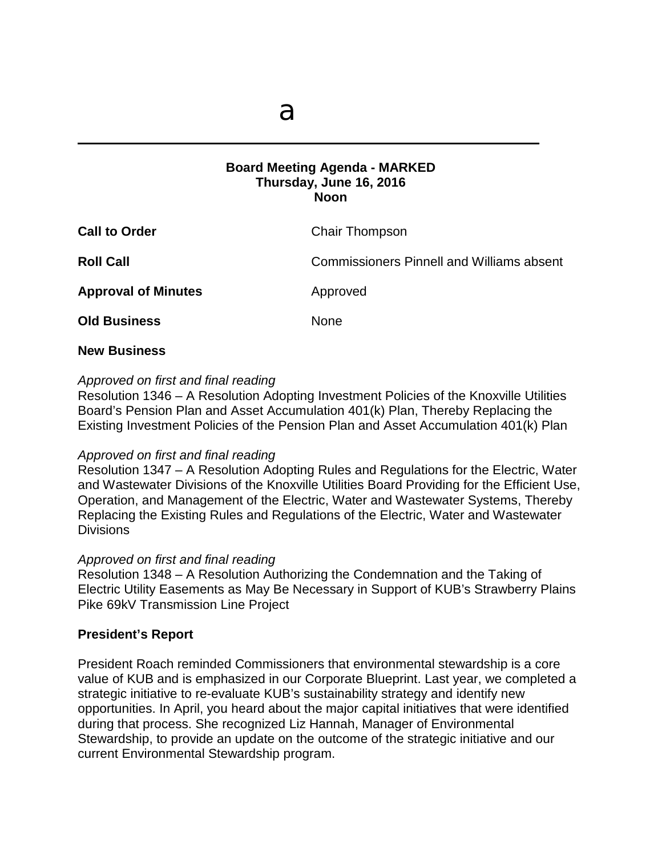$\mathcal{L} = \{ \mathcal{L} \mid \mathcal{L} \in \mathcal{L} \}$ 

## **Board Meeting Agenda - MARKED Thursday, June 16, 2016 Noon**

| <b>Call to Order</b>       | Chair Thompson                                   |
|----------------------------|--------------------------------------------------|
| <b>Roll Call</b>           | <b>Commissioners Pinnell and Williams absent</b> |
| <b>Approval of Minutes</b> | Approved                                         |
| <b>Old Business</b>        | <b>None</b>                                      |
|                            |                                                  |

## **New Business**

## *Approved on first and final reading*

Resolution 1346 – A Resolution Adopting Investment Policies of the Knoxville Utilities Board's Pension Plan and Asset Accumulation 401(k) Plan, Thereby Replacing the Existing Investment Policies of the Pension Plan and Asset Accumulation 401(k) Plan

#### *Approved on first and final reading*

Resolution 1347 – A Resolution Adopting Rules and Regulations for the Electric, Water and Wastewater Divisions of the Knoxville Utilities Board Providing for the Efficient Use, Operation, and Management of the Electric, Water and Wastewater Systems, Thereby Replacing the Existing Rules and Regulations of the Electric, Water and Wastewater **Divisions** 

# *Approved on first and final reading*

Resolution 1348 – A Resolution Authorizing the Condemnation and the Taking of Electric Utility Easements as May Be Necessary in Support of KUB's Strawberry Plains Pike 69kV Transmission Line Project

# **President's Report**

President Roach reminded Commissioners that environmental stewardship is a core value of KUB and is emphasized in our Corporate Blueprint. Last year, we completed a strategic initiative to re-evaluate KUB's sustainability strategy and identify new opportunities. In April, you heard about the major capital initiatives that were identified during that process. She recognized Liz Hannah, Manager of Environmental Stewardship, to provide an update on the outcome of the strategic initiative and our current Environmental Stewardship program.